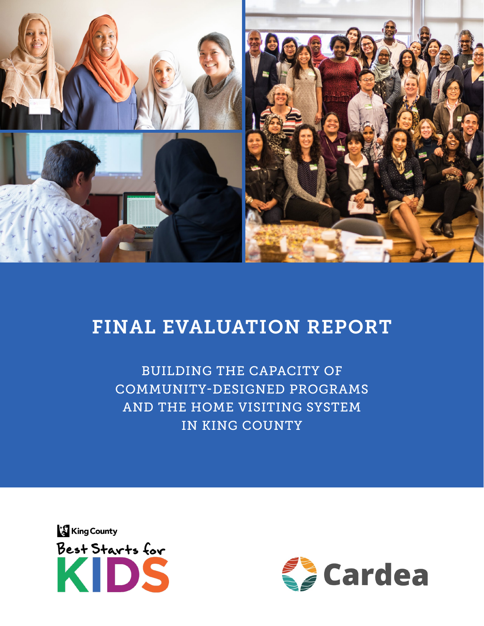

# FINAL EVALUATION REPORT

BUILDING THE CAPACITY OF COMMUNITY-DESIGNED PROGRAMS AND THE HOME VISITING SYSTEM IN KING COUNTY



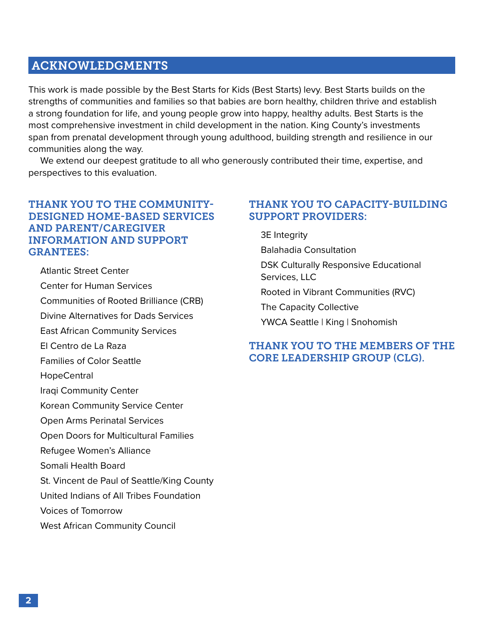# ACKNOWLEDGMENTS

This work is made possible by the Best Starts for Kids (Best Starts) levy. Best Starts builds on the strengths of communities and families so that babies are born healthy, children thrive and establish a strong foundation for life, and young people grow into happy, healthy adults. Best Starts is the most comprehensive investment in child development in the nation. King County's investments span from prenatal development through young adulthood, building strength and resilience in our communities along the way.

We extend our deepest gratitude to all who generously contributed their time, expertise, and perspectives to this evaluation.

# THANK YOU TO THE COMMUNITY-DESIGNED HOME-BASED SERVICES AND PARENT/CAREGIVER INFORMATION AND SUPPORT GRANTEES:

Atlantic Street Center Center for Human Services Communities of Rooted Brilliance (CRB) Divine Alternatives for Dads Services East African Community Services El Centro de La Raza Families of Color Seattle **HopeCentral** Iraqi Community Center Korean Community Service Center Open Arms Perinatal Services Open Doors for Multicultural Families Refugee Women's Alliance Somali Health Board St. Vincent de Paul of Seattle/King County United Indians of All Tribes Foundation Voices of Tomorrow West African Community Council

# THANK YOU TO CAPACITY-BUILDING SUPPORT PROVIDERS:

3E Integrity

Balahadia Consultation

DSK Culturally Responsive Educational Services, LLC

Rooted in Vibrant Communities (RVC)

The Capacity Collective

YWCA Seattle | King | Snohomish

# THANK YOU TO THE MEMBERS OF THE CORE LEADERSHIP GROUP (CLG).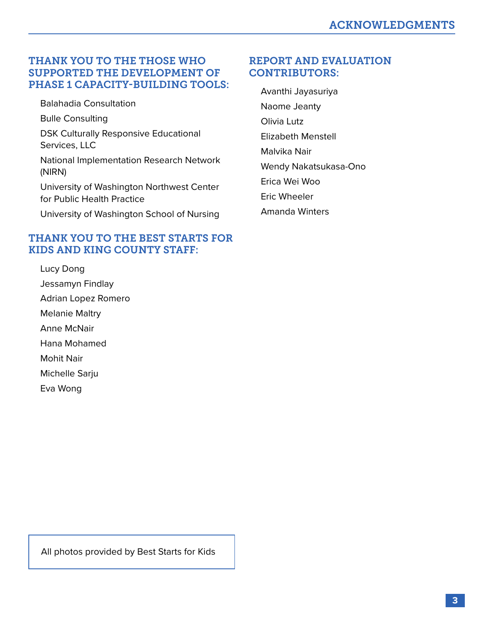# THANK YOU TO THE THOSE WHO SUPPORTED THE DEVELOPMENT OF PHASE 1 CAPACITY-BUILDING TOOLS:

Balahadia Consultation Bulle Consulting DSK Culturally Responsive Educational Services, LLC National Implementation Research Network (NIRN) University of Washington Northwest Center for Public Health Practice University of Washington School of Nursing

# THANK YOU TO THE BEST STARTS FOR KIDS AND KING COUNTY STAFF:

Lucy Dong Jessamyn Findlay Adrian Lopez Romero Melanie Maltry Anne McNair Hana Mohamed Mohit Nair Michelle Sarju Eva Wong

# REPORT AND EVALUATION CONTRIBUTORS:

Avanthi Jayasuriya Naome Jeanty Olivia Lutz Elizabeth Menstell Malvika Nair Wendy Nakatsukasa-Ono Erica Wei Woo Eric Wheeler Amanda Winters

All photos provided by Best Starts for Kids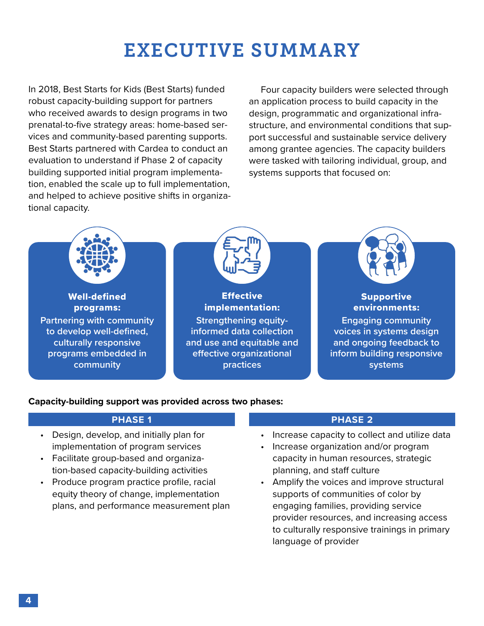# EXECUTIVE SUMMARY

In 2018, Best Starts for Kids (Best Starts) funded robust capacity-building support for partners who received awards to design programs in two prenatal-to-five strategy areas: home-based services and community-based parenting supports. Best Starts partnered with Cardea to conduct an evaluation to understand if Phase 2 of capacity building supported initial program implementation, enabled the scale up to full implementation, and helped to achieve positive shifts in organizational capacity.

Four capacity builders were selected through an application process to build capacity in the design, programmatic and organizational infrastructure, and environmental conditions that support successful and sustainable service delivery among grantee agencies. The capacity builders were tasked with tailoring individual, group, and systems supports that focused on:



#### **Capacity-building support was provided across two phases:**

#### **PHASE 1**

- Design, develop, and initially plan for implementation of program services
- Facilitate group-based and organization-based capacity-building activities
- Produce program practice profile, racial equity theory of change, implementation plans, and performance measurement plan

#### **PHASE 2**

- Increase capacity to collect and utilize data
- Increase organization and/or program capacity in human resources, strategic planning, and staff culture
- Amplify the voices and improve structural supports of communities of color by engaging families, providing service provider resources, and increasing access to culturally responsive trainings in primary language of provider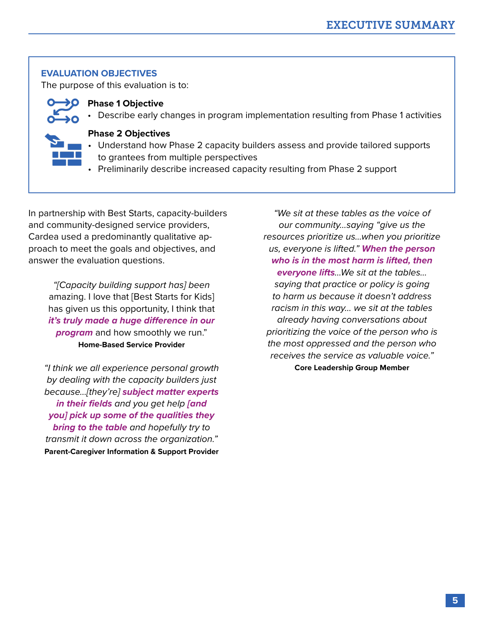# **EVALUATION OBJECTIVES**

The purpose of this evaluation is to:

### **Phase 1 Objective**

• Describe early changes in program implementation resulting from Phase 1 activities

### **Phase 2 Objectives**

- Understand how Phase 2 capacity builders assess and provide tailored supports to grantees from multiple perspectives
- Preliminarily describe increased capacity resulting from Phase 2 support

In partnership with Best Starts, capacity-builders and community-designed service providers, Cardea used a predominantly qualitative approach to meet the goals and objectives, and answer the evaluation questions.

*"[Capacity building support has] been*  amazing. I love that [Best Starts for Kids] has given us this opportunity, I think that *it's truly made a huge difference in our program* and how smoothly we run." **Home-Based Service Provider**

*"I think we all experience personal growth by dealing with the capacity builders just because…[they're] subject matter experts in their fields and you get help [and you] pick up some of the qualities they bring to the table and hopefully try to transmit it down across the organization."*  **Parent-Caregiver Information & Support Provider**

*"We sit at these tables as the voice of our community…saying "give us the resources prioritize us…when you prioritize us, everyone is lifted." When the person who is in the most harm is lifted, then everyone lifts…We sit at the tables… saying that practice or policy is going to harm us because it doesn't address racism in this way… we sit at the tables already having conversations about prioritizing the voice of the person who is the most oppressed and the person who receives the service as valuable voice."* **Core Leadership Group Member**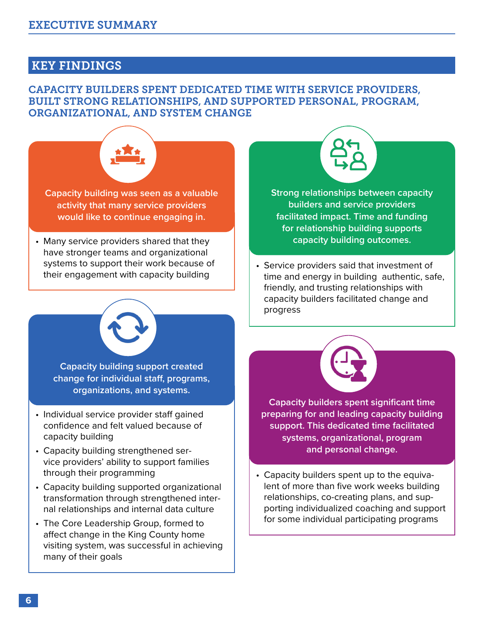# KEY FINDINGS

# CAPACITY BUILDERS SPENT DEDICATED TIME WITH SERVICE PROVIDERS, BUILT STRONG RELATIONSHIPS, AND SUPPORTED PERSONAL, PROGRAM, ORGANIZATIONAL, AND SYSTEM CHANGE



**Capacity building was seen as a valuable activity that many service providers would like to continue engaging in.**

• Many service providers shared that they have stronger teams and organizational systems to support their work because of



**Strong relationships between capacity builders and service providers facilitated impact. Time and funding for relationship building supports capacity building outcomes.**

systems to support their work because of **Fig. 1.1 Service providers said that investment of**<br>their engagement with capacity building<br>time and energy in building authentic said time and energy in building authentic, safe, friendly, and trusting relationships with capacity builders facilitated change and progress



**Capacity builders spent significant time preparing for and leading capacity building support. This dedicated time facilitated systems, organizational, program and personal change.**

• Capacity builders spent up to the equivalent of more than five work weeks building relationships, co-creating plans, and supporting individualized coaching and support for some individual participating programs

**Capacity building support created change for individual staff, programs, organizations, and systems.**

- Individual service provider staff gained confidence and felt valued because of capacity building
- Capacity building strengthened service providers' ability to support families through their programming
- Capacity building supported organizational transformation through strengthened internal relationships and internal data culture
- The Core Leadership Group, formed to affect change in the King County home visiting system, was successful in achieving many of their goals